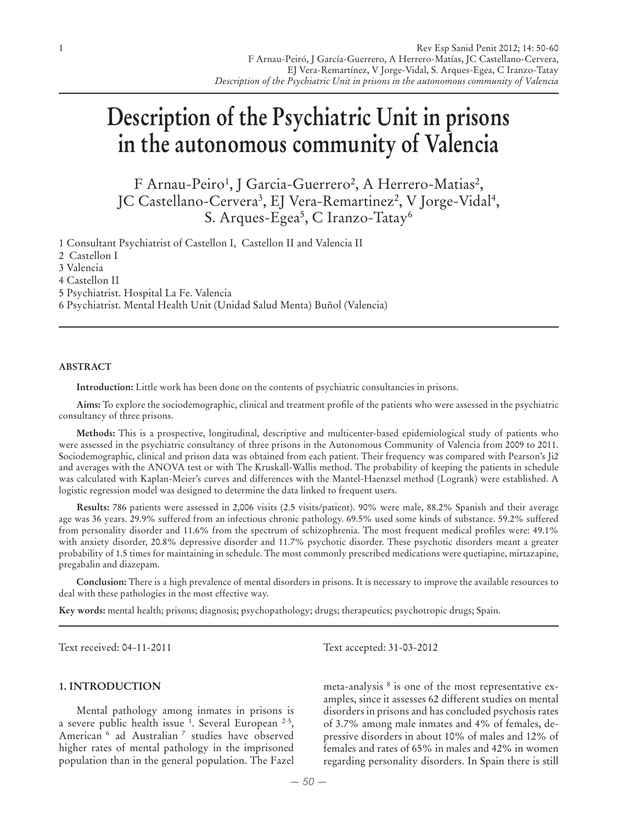# **Description of the Psychiatric Unit in prisons in the autonomous community of Valencia**

F Arnau-Peiro<sup>1</sup>, J Garcia-Guerrero<sup>2</sup>, A Herrero-Matias<sup>2</sup>, JC Castellano-Cervera<sup>3</sup>, EJ Vera-Remartinez<sup>2</sup>, V Jorge-Vidal<sup>4</sup>, S. Arques-Egea $^5$ , C Iranzo-Tatay $^6$ 

1 Consultant Psychiatrist of Castellon I, Castellon II and Valencia II

2 Castellon I

3 Valencia

4 Castellon II

5 Psychiatrist. Hospital La Fe. Valencia

6 Psychiatrist. Mental Health Unit (Unidad Salud Menta) Buñol (Valencia)

## **ABSTRACT**

**Introduction:** Little work has been done on the contents of psychiatric consultancies in prisons.

**Aims:** To explore the sociodemographic, clinical and treatment profile of the patients who were assessed in the psychiatric consultancy of three prisons.

**Methods:** This is a prospective, longitudinal, descriptive and multicenter-based epidemiological study of patients who were assessed in the psychiatric consultancy of three prisons in the Autonomous Community of Valencia from 2009 to 2011. Sociodemographic, clinical and prison data was obtained from each patient. Their frequency was compared with Pearson's Ji2 and averages with the ANOVA test or with The Kruskall-Wallis method. The probability of keeping the patients in schedule was calculated with Kaplan-Meier's curves and differences with the Mantel-Haenzsel method (Logrank) were established. A logistic regression model was designed to determine the data linked to frequent users.

**Results:** 786 patients were assessed in 2,006 visits (2.5 visits/patient). 90% were male, 88.2% Spanish and their average age was 36 years. 29.9% suffered from an infectious chronic pathology. 69.5% used some kinds of substance. 59.2% suffered from personality disorder and 11.6% from the spectrum of schizophrenia. The most frequent medical profiles were: 49.1% with anxiety disorder, 20.8% depressive disorder and 11.7% psychotic disorder. These psychotic disorders meant a greater probability of 1.5 times for maintaining in schedule. The most commonly prescribed medications were quetiapine, mirtazapine, pregabalin and diazepam.

**Conclusion:** There is a high prevalence of mental disorders in prisons. It is necessary to improve the available resources to deal with these pathologies in the most effective way.

**Key words:** mental health; prisons; diagnosis; psychopathology; drugs; therapeutics; psychotropic drugs; Spain.

## **1. INTRODUCTION**

Mental pathology among inmates in prisons is a severe public health issue <sup>1</sup>. Several European <sup>2-5</sup>, American 6 ad Australian 7 studies have observed higher rates of mental pathology in the imprisoned population than in the general population. The Fazel

Text received: 04-11-2011 Text accepted: 31-03-2012

meta-analysis 8 is one of the most representative examples, since it assesses 62 different studies on mental disorders in prisons and has concluded psychosis rates of 3.7% among male inmates and 4% of females, depressive disorders in about 10% of males and 12% of females and rates of 65% in males and 42% in women regarding personality disorders. In Spain there is still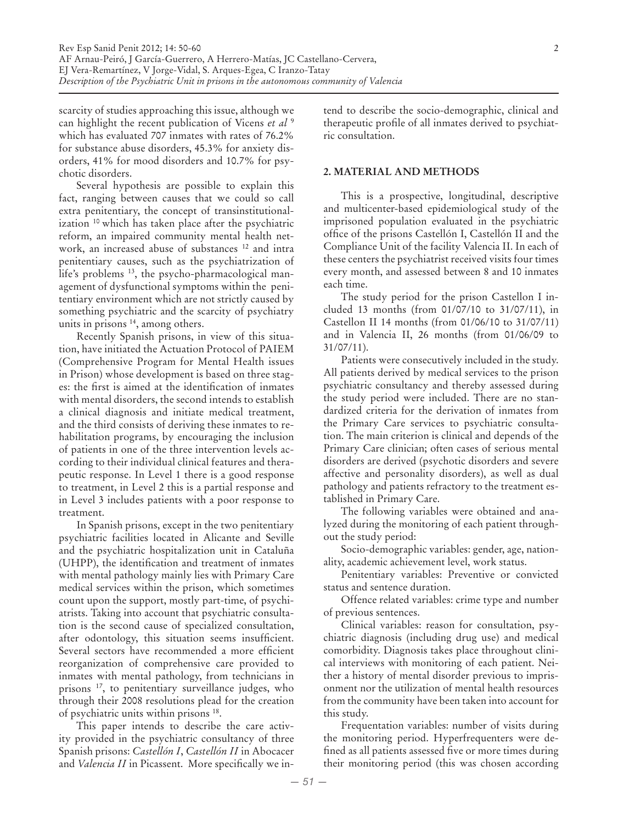scarcity of studies approaching this issue, although we can highlight the recent publication of Vicens *et al* <sup>9</sup> which has evaluated 707 inmates with rates of 76.2% for substance abuse disorders, 45.3% for anxiety disorders, 41% for mood disorders and 10.7% for psychotic disorders.

Several hypothesis are possible to explain this fact, ranging between causes that we could so call extra penitentiary, the concept of transinstitutionalization 10 which has taken place after the psychiatric reform, an impaired community mental health network, an increased abuse of substances 12 and intra penitentiary causes, such as the psychiatrization of life's problems<sup>13</sup>, the psycho-pharmacological management of dysfunctional symptoms within the penitentiary environment which are not strictly caused by something psychiatric and the scarcity of psychiatry units in prisons  $14$ , among others.

Recently Spanish prisons, in view of this situation, have initiated the Actuation Protocol of PAIEM (Comprehensive Program for Mental Health issues in Prison) whose development is based on three stages: the first is aimed at the identification of inmates with mental disorders, the second intends to establish a clinical diagnosis and initiate medical treatment, and the third consists of deriving these inmates to rehabilitation programs, by encouraging the inclusion of patients in one of the three intervention levels according to their individual clinical features and therapeutic response. In Level 1 there is a good response to treatment, in Level 2 this is a partial response and in Level 3 includes patients with a poor response to treatment.

In Spanish prisons, except in the two penitentiary psychiatric facilities located in Alicante and Seville and the psychiatric hospitalization unit in Cataluña (UHPP), the identification and treatment of inmates with mental pathology mainly lies with Primary Care medical services within the prison, which sometimes count upon the support, mostly part-time, of psychiatrists. Taking into account that psychiatric consultation is the second cause of specialized consultation, after odontology, this situation seems insufficient. Several sectors have recommended a more efficient reorganization of comprehensive care provided to inmates with mental pathology, from technicians in prisons 17, to penitentiary surveillance judges, who through their 2008 resolutions plead for the creation of psychiatric units within prisons 18.

This paper intends to describe the care activity provided in the psychiatric consultancy of three Spanish prisons: *Castellón I*, *Castellón II* in Abocacer and *Valencia II* in Picassent. More specifically we intend to describe the socio-demographic, clinical and therapeutic profile of all inmates derived to psychiatric consultation.

## **2. MATERIAL AND METHODS**

This is a prospective, longitudinal, descriptive and multicenter-based epidemiological study of the imprisoned population evaluated in the psychiatric office of the prisons Castellón I, Castellón II and the Compliance Unit of the facility Valencia II. In each of these centers the psychiatrist received visits four times every month, and assessed between 8 and 10 inmates each time.

The study period for the prison Castellon I included 13 months (from 01/07/10 to 31/07/11), in Castellon II 14 months (from 01/06/10 to 31/07/11) and in Valencia II, 26 months (from 01/06/09 to 31/07/11).

Patients were consecutively included in the study. All patients derived by medical services to the prison psychiatric consultancy and thereby assessed during the study period were included. There are no standardized criteria for the derivation of inmates from the Primary Care services to psychiatric consultation. The main criterion is clinical and depends of the Primary Care clinician; often cases of serious mental disorders are derived (psychotic disorders and severe affective and personality disorders), as well as dual pathology and patients refractory to the treatment established in Primary Care.

The following variables were obtained and analyzed during the monitoring of each patient throughout the study period:

Socio-demographic variables: gender, age, nationality, academic achievement level, work status.

Penitentiary variables: Preventive or convicted status and sentence duration.

Offence related variables: crime type and number of previous sentences.

Clinical variables: reason for consultation, psychiatric diagnosis (including drug use) and medical comorbidity. Diagnosis takes place throughout clinical interviews with monitoring of each patient. Neither a history of mental disorder previous to imprisonment nor the utilization of mental health resources from the community have been taken into account for this study.

Frequentation variables: number of visits during the monitoring period. Hyperfrequenters were defined as all patients assessed five or more times during their monitoring period (this was chosen according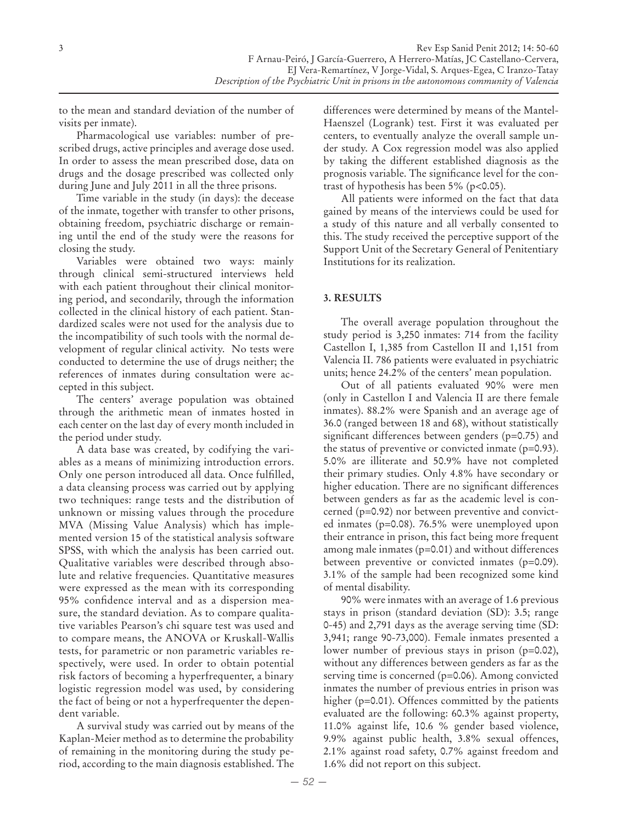to the mean and standard deviation of the number of visits per inmate).

Pharmacological use variables: number of prescribed drugs, active principles and average dose used. In order to assess the mean prescribed dose, data on drugs and the dosage prescribed was collected only during June and July 2011 in all the three prisons.

Time variable in the study (in days): the decease of the inmate, together with transfer to other prisons, obtaining freedom, psychiatric discharge or remaining until the end of the study were the reasons for closing the study.

Variables were obtained two ways: mainly through clinical semi-structured interviews held with each patient throughout their clinical monitoring period, and secondarily, through the information collected in the clinical history of each patient. Standardized scales were not used for the analysis due to the incompatibility of such tools with the normal development of regular clinical activity. No tests were conducted to determine the use of drugs neither; the references of inmates during consultation were accepted in this subject.

The centers' average population was obtained through the arithmetic mean of inmates hosted in each center on the last day of every month included in the period under study.

A data base was created, by codifying the variables as a means of minimizing introduction errors. Only one person introduced all data. Once fulfilled, a data cleansing process was carried out by applying two techniques: range tests and the distribution of unknown or missing values through the procedure MVA (Missing Value Analysis) which has implemented version 15 of the statistical analysis software SPSS, with which the analysis has been carried out. Qualitative variables were described through absolute and relative frequencies. Quantitative measures were expressed as the mean with its corresponding 95% confidence interval and as a dispersion measure, the standard deviation. As to compare qualitative variables Pearson's chi square test was used and to compare means, the ANOVA or Kruskall-Wallis tests, for parametric or non parametric variables respectively, were used. In order to obtain potential risk factors of becoming a hyperfrequenter, a binary logistic regression model was used, by considering the fact of being or not a hyperfrequenter the dependent variable.

A survival study was carried out by means of the Kaplan-Meier method as to determine the probability of remaining in the monitoring during the study period, according to the main diagnosis established. The differences were determined by means of the Mantel-Haenszel (Logrank) test. First it was evaluated per centers, to eventually analyze the overall sample under study. A Cox regression model was also applied by taking the different established diagnosis as the prognosis variable. The significance level for the contrast of hypothesis has been  $5\%$  (p<0.05).

All patients were informed on the fact that data gained by means of the interviews could be used for a study of this nature and all verbally consented to this. The study received the perceptive support of the Support Unit of the Secretary General of Penitentiary Institutions for its realization.

# **3. RESULTS**

The overall average population throughout the study period is 3,250 inmates: 714 from the facility Castellon I, 1,385 from Castellon II and 1,151 from Valencia II. 786 patients were evaluated in psychiatric units; hence 24.2% of the centers' mean population.

Out of all patients evaluated 90% were men (only in Castellon I and Valencia II are there female inmates). 88.2% were Spanish and an average age of 36.0 (ranged between 18 and 68), without statistically significant differences between genders (p=0.75) and the status of preventive or convicted inmate (p=0.93). 5.0% are illiterate and 50.9% have not completed their primary studies. Only 4.8% have secondary or higher education. There are no significant differences between genders as far as the academic level is concerned (p=0.92) nor between preventive and convicted inmates (p=0.08). 76.5% were unemployed upon their entrance in prison, this fact being more frequent among male inmates (p=0.01) and without differences between preventive or convicted inmates (p=0.09). 3.1% of the sample had been recognized some kind of mental disability.

90% were inmates with an average of 1.6 previous stays in prison (standard deviation (SD): 3.5; range 0-45) and 2,791 days as the average serving time (SD: 3,941; range 90-73,000). Female inmates presented a lower number of previous stays in prison (p=0.02), without any differences between genders as far as the serving time is concerned (p=0.06). Among convicted inmates the number of previous entries in prison was higher (p=0.01). Offences committed by the patients evaluated are the following: 60.3% against property, 11.0% against life, 10.6 % gender based violence, 9.9% against public health, 3.8% sexual offences, 2.1% against road safety, 0.7% against freedom and 1.6% did not report on this subject.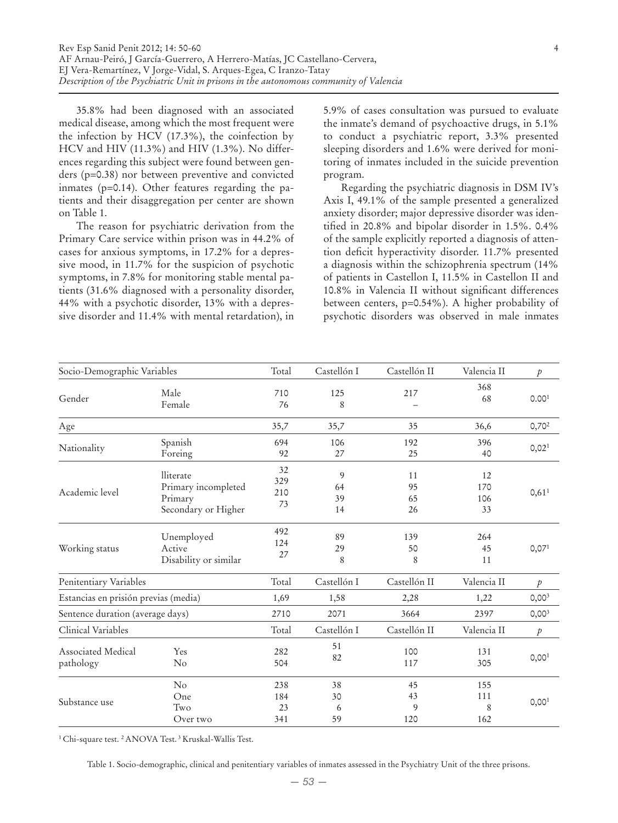35.8% had been diagnosed with an associated medical disease, among which the most frequent were the infection by HCV (17.3%), the coinfection by HCV and HIV (11.3%) and HIV (1.3%). No differences regarding this subject were found between genders (p=0.38) nor between preventive and convicted inmates (p=0.14). Other features regarding the patients and their disaggregation per center are shown on Table 1.

The reason for psychiatric derivation from the Primary Care service within prison was in 44.2% of cases for anxious symptoms, in 17.2% for a depressive mood, in 11.7% for the suspicion of psychotic symptoms, in 7.8% for monitoring stable mental patients (31.6% diagnosed with a personality disorder, 44% with a psychotic disorder, 13% with a depressive disorder and 11.4% with mental retardation), in 5.9% of cases consultation was pursued to evaluate the inmate's demand of psychoactive drugs, in 5.1% to conduct a psychiatric report, 3.3% presented sleeping disorders and 1.6% were derived for monitoring of inmates included in the suicide prevention program.

Regarding the psychiatric diagnosis in DSM IV's Axis I, 49.1% of the sample presented a generalized anxiety disorder; major depressive disorder was identified in 20.8% and bipolar disorder in 1.5%. 0.4% of the sample explicitly reported a diagnosis of attention deficit hyperactivity disorder. 11.7% presented a diagnosis within the schizophrenia spectrum (14% of patients in Castellon I, 11.5% in Castellon II and 10.8% in Valencia II without significant differences between centers, p=0.54%). A higher probability of psychotic disorders was observed in male inmates

| Socio-Demographic Variables          |                                                                    | Total                   | Castellón I         | Castellón II         | Valencia II            | $\mathcal{P}$     |
|--------------------------------------|--------------------------------------------------------------------|-------------------------|---------------------|----------------------|------------------------|-------------------|
| Gender                               | Male<br>Female                                                     | 710<br>76               | 125<br>8            | 217                  | 368<br>68              | 0.00 <sup>1</sup> |
| Age                                  |                                                                    | 35,7                    | 35,7                | 35                   | 36,6                   | $0,70^2$          |
| Nationality                          | Spanish<br>Foreing                                                 | 694<br>92               | 106<br>27           | 192<br>25            | 396<br>40              | 0,02 <sup>1</sup> |
| Academic level                       | lliterate<br>Primary incompleted<br>Primary<br>Secondary or Higher | 32<br>329<br>210<br>73  | 9<br>64<br>39<br>14 | 11<br>95<br>65<br>26 | 12<br>170<br>106<br>33 | 0,61 <sup>1</sup> |
| Working status                       | Unemployed<br>Active<br>Disability or similar                      | 492<br>124<br>27        | 89<br>29<br>8       | 139<br>50<br>8       | 264<br>45<br>11        | 0,07 <sup>1</sup> |
| Penitentiary Variables               |                                                                    | Total                   | Castellón I         | Castellón II         | Valencia II            | $\mathcal{P}$     |
| Estancias en prisión previas (media) |                                                                    | 1,69                    | 1,58                | 2,28                 | 1,22                   | $0,00^{3}$        |
| Sentence duration (average days)     |                                                                    | 2710                    | 2071                | 3664                 | 2397                   | 0,00 <sup>3</sup> |
| Clinical Variables                   |                                                                    | Total                   | Castellón I         | Castellón II         | Valencia II            | $\boldsymbol{p}$  |
| Associated Medical<br>pathology      | Yes<br>N <sub>o</sub>                                              | 282<br>504              | 51<br>82            | 100<br>117           | 131<br>305             | 0,00 <sup>1</sup> |
| Substance use                        | No<br>One<br>Two<br>Over two                                       | 238<br>184<br>23<br>341 | 38<br>30<br>6<br>59 | 45<br>43<br>9<br>120 | 155<br>111<br>8<br>162 | 0,00 <sup>1</sup> |

<sup>1</sup> Chi-square test. <sup>2</sup> ANOVA Test. <sup>3</sup> Kruskal-Wallis Test.

Table 1. Socio-demographic, clinical and penitentiary variables of inmates assessed in the Psychiatry Unit of the three prisons.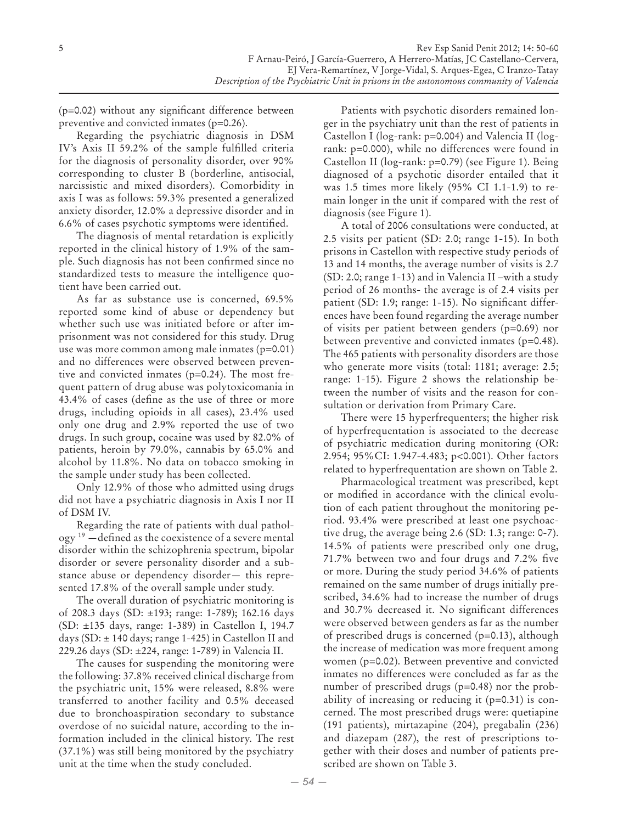(p=0.02) without any significant difference between preventive and convicted inmates (p=0.26).

Regarding the psychiatric diagnosis in DSM IV's Axis II 59.2% of the sample fulfilled criteria for the diagnosis of personality disorder, over 90% corresponding to cluster B (borderline, antisocial, narcissistic and mixed disorders). Comorbidity in axis I was as follows: 59.3% presented a generalized anxiety disorder, 12.0% a depressive disorder and in 6.6% of cases psychotic symptoms were identified.

The diagnosis of mental retardation is explicitly reported in the clinical history of 1.9% of the sample. Such diagnosis has not been confirmed since no standardized tests to measure the intelligence quotient have been carried out.

As far as substance use is concerned, 69.5% reported some kind of abuse or dependency but whether such use was initiated before or after imprisonment was not considered for this study. Drug use was more common among male inmates (p=0.01) and no differences were observed between preventive and convicted inmates (p=0.24). The most frequent pattern of drug abuse was polytoxicomania in 43.4% of cases (define as the use of three or more drugs, including opioids in all cases), 23.4% used only one drug and 2.9% reported the use of two drugs. In such group, cocaine was used by 82.0% of patients, heroin by 79.0%, cannabis by 65.0% and alcohol by 11.8%. No data on tobacco smoking in the sample under study has been collected.

Only 12.9% of those who admitted using drugs did not have a psychiatric diagnosis in Axis I nor II of DSM IV.

Regarding the rate of patients with dual pathology 19 —defined as the coexistence of a severe mental disorder within the schizophrenia spectrum, bipolar disorder or severe personality disorder and a substance abuse or dependency disorder— this represented 17.8% of the overall sample under study.

The overall duration of psychiatric monitoring is of 208.3 days (SD: ±193; range: 1-789); 162.16 days (SD: ±135 days, range: 1-389) in Castellon I, 194.7 days (SD:  $\pm$  140 days; range 1-425) in Castellon II and 229.26 days (SD: ±224, range: 1-789) in Valencia II.

The causes for suspending the monitoring were the following: 37.8% received clinical discharge from the psychiatric unit, 15% were released, 8.8% were transferred to another facility and 0.5% deceased due to bronchoaspiration secondary to substance overdose of no suicidal nature, according to the information included in the clinical history. The rest (37.1%) was still being monitored by the psychiatry unit at the time when the study concluded.

Patients with psychotic disorders remained longer in the psychiatry unit than the rest of patients in Castellon I (log-rank: p=0.004) and Valencia II (logrank: p=0.000), while no differences were found in Castellon II (log-rank: p=0.79) (see Figure 1). Being diagnosed of a psychotic disorder entailed that it was 1.5 times more likely (95% CI 1.1-1.9) to remain longer in the unit if compared with the rest of diagnosis (see Figure 1).

A total of 2006 consultations were conducted, at 2.5 visits per patient (SD: 2.0; range 1-15). In both prisons in Castellon with respective study periods of 13 and 14 months, the average number of visits is 2.7 (SD: 2.0; range 1-13) and in Valencia II –with a study period of 26 months- the average is of 2.4 visits per patient (SD: 1.9; range: 1-15). No significant differences have been found regarding the average number of visits per patient between genders (p=0.69) nor between preventive and convicted inmates (p=0.48). The 465 patients with personality disorders are those who generate more visits (total: 1181; average: 2.5; range: 1-15). Figure 2 shows the relationship between the number of visits and the reason for consultation or derivation from Primary Care.

There were 15 hyperfrequenters; the higher risk of hyperfrequentation is associated to the decrease of psychiatric medication during monitoring (OR: 2.954; 95%CI: 1.947-4.483; p<0.001). Other factors related to hyperfrequentation are shown on Table 2.

Pharmacological treatment was prescribed, kept or modified in accordance with the clinical evolution of each patient throughout the monitoring period. 93.4% were prescribed at least one psychoactive drug, the average being 2.6 (SD: 1.3; range: 0-7). 14.5% of patients were prescribed only one drug, 71.7% between two and four drugs and 7.2% five or more. During the study period 34.6% of patients remained on the same number of drugs initially prescribed, 34.6% had to increase the number of drugs and 30.7% decreased it. No significant differences were observed between genders as far as the number of prescribed drugs is concerned (p=0.13), although the increase of medication was more frequent among women (p=0.02). Between preventive and convicted inmates no differences were concluded as far as the number of prescribed drugs (p=0.48) nor the probability of increasing or reducing it (p=0.31) is concerned. The most prescribed drugs were: quetiapine (191 patients), mirtazapine (204), pregabalin (236) and diazepam (287), the rest of prescriptions together with their doses and number of patients prescribed are shown on Table 3.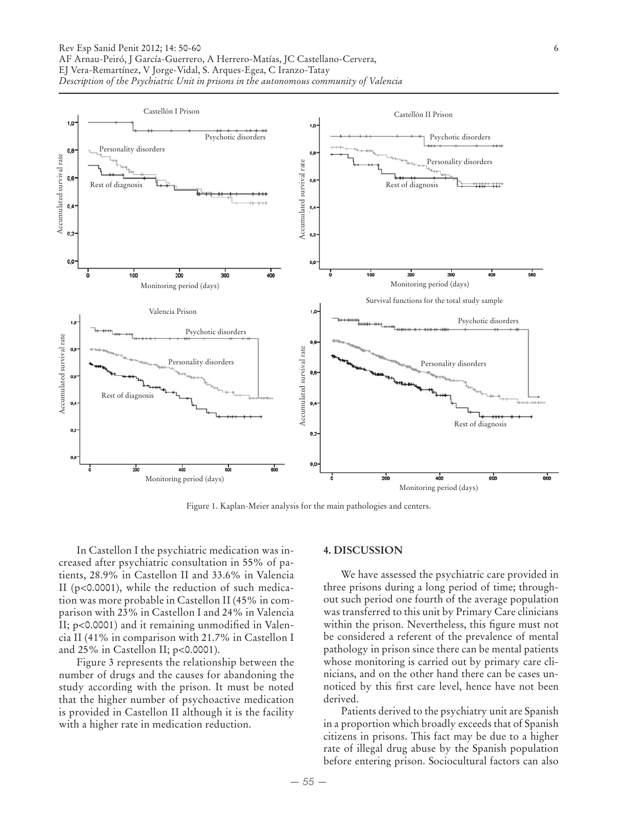

Figure 1. Kaplan-Meier analysis for the main pathologies and centers.

In Castellon I the psychiatric medication was increased after psychiatric consultation in 55% of patients, 28.9% in Castellon II and 33.6% in Valencia II (p<0.0001), while the reduction of such medication was more probable in Castellon II (45% in comparison with 23% in Castellon I and 24% in Valencia II; p<0.0001) and it remaining unmodified in Valencia II (41% in comparison with 21.7% in Castellon I and 25% in Castellon II; p<0.0001).

Figure 3 represents the relationship between the number of drugs and the causes for abandoning the study according with the prison. It must be noted that the higher number of psychoactive medication is provided in Castellon II although it is the facility with a higher rate in medication reduction.

#### **4. DISCUSSION**

We have assessed the psychiatric care provided in three prisons during a long period of time; throughout such period one fourth of the average population was transferred to this unit by Primary Care clinicians within the prison. Nevertheless, this figure must not be considered a referent of the prevalence of mental pathology in prison since there can be mental patients whose monitoring is carried out by primary care clinicians, and on the other hand there can be cases unnoticed by this first care level, hence have not been derived.

Patients derived to the psychiatry unit are Spanish in a proportion which broadly exceeds that of Spanish citizens in prisons. This fact may be due to a higher rate of illegal drug abuse by the Spanish population before entering prison. Sociocultural factors can also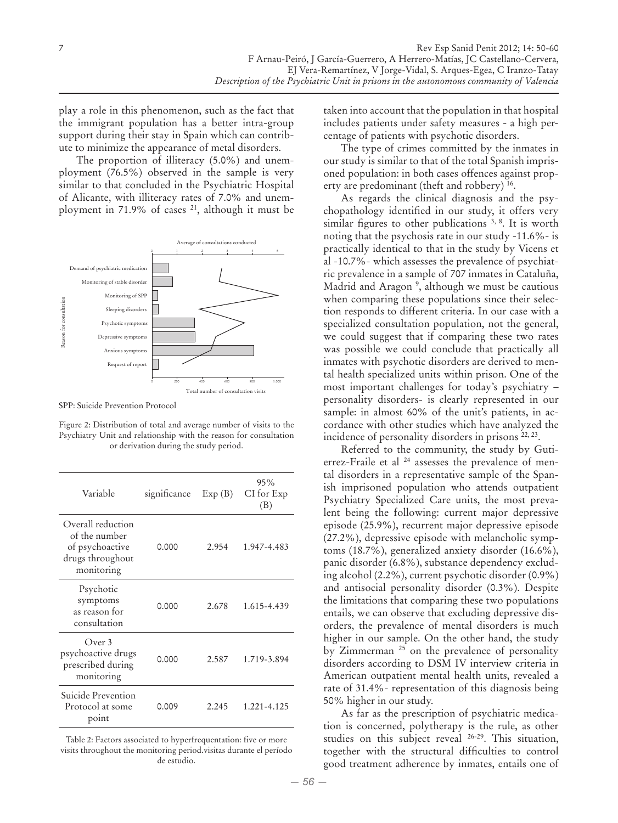play a role in this phenomenon, such as the fact that the immigrant population has a better intra-group support during their stay in Spain which can contribute to minimize the appearance of metal disorders.

The proportion of illiteracy (5.0%) and unemployment (76.5%) observed in the sample is very similar to that concluded in the Psychiatric Hospital of Alicante, with illiteracy rates of 7.0% and unemployment in 71.9% of cases 21, although it must be



SPP: Suicide Prevention Protocol

Figure 2: Distribution of total and average number of visits to the Psychiatry Unit and relationship with the reason for consultation or derivation during the study period.

| Variable                                                                                | significance | Exp(B) | 95%<br>CI for Exp<br>(B) |
|-----------------------------------------------------------------------------------------|--------------|--------|--------------------------|
| Overall reduction<br>of the number<br>of psychoactive<br>drugs throughout<br>monitoring | 0.000        | 2.954  | 1.947-4.483              |
| Psychotic<br>symptoms<br>as reason for<br>consultation                                  | 0.000        | 2.678  | 1.615-4.439              |
| Over 3<br>psychoactive drugs<br>prescribed during<br>monitoring                         | 0.000        | 2.587  | 1.719-3.894              |
| Suicide Prevention<br>Protocol at some<br>point                                         | 0.009        | 2.245  | 1.221-4.125              |

Table 2: Factors associated to hyperfrequentation: five or more visits throughout the monitoring period.visitas durante el período de estudio.

taken into account that the population in that hospital includes patients under safety measures - a high percentage of patients with psychotic disorders.

The type of crimes committed by the inmates in our study is similar to that of the total Spanish imprisoned population: in both cases offences against property are predominant (theft and robbery) 16.

As regards the clinical diagnosis and the psychopathology identified in our study, it offers very similar figures to other publications  $3, 8$ . It is worth noting that the psychosis rate in our study -11.6%- is practically identical to that in the study by Vicens et al -10.7%- which assesses the prevalence of psychiatric prevalence in a sample of 707 inmates in Cataluña, Madrid and Aragon 9 , although we must be cautious when comparing these populations since their selection responds to different criteria. In our case with a specialized consultation population, not the general, we could suggest that if comparing these two rates was possible we could conclude that practically all inmates with psychotic disorders are derived to mental health specialized units within prison. One of the most important challenges for today's psychiatry – personality disorders- is clearly represented in our sample: in almost 60% of the unit's patients, in accordance with other studies which have analyzed the incidence of personality disorders in prisons <sup>22, 23</sup>.

Referred to the community, the study by Gutierrez-Fraile et al <sup>24</sup> assesses the prevalence of mental disorders in a representative sample of the Spanish imprisoned population who attends outpatient Psychiatry Specialized Care units, the most prevalent being the following: current major depressive episode (25.9%), recurrent major depressive episode (27.2%), depressive episode with melancholic symptoms (18.7%), generalized anxiety disorder (16.6%), panic disorder (6.8%), substance dependency excluding alcohol (2.2%), current psychotic disorder (0.9%) and antisocial personality disorder (0.3%). Despite the limitations that comparing these two populations entails, we can observe that excluding depressive disorders, the prevalence of mental disorders is much higher in our sample. On the other hand, the study by Zimmerman 25 on the prevalence of personality disorders according to DSM IV interview criteria in American outpatient mental health units, revealed a rate of 31.4%- representation of this diagnosis being 50% higher in our study.

As far as the prescription of psychiatric medication is concerned, polytherapy is the rule, as other studies on this subject reveal 26-29. This situation, together with the structural difficulties to control good treatment adherence by inmates, entails one of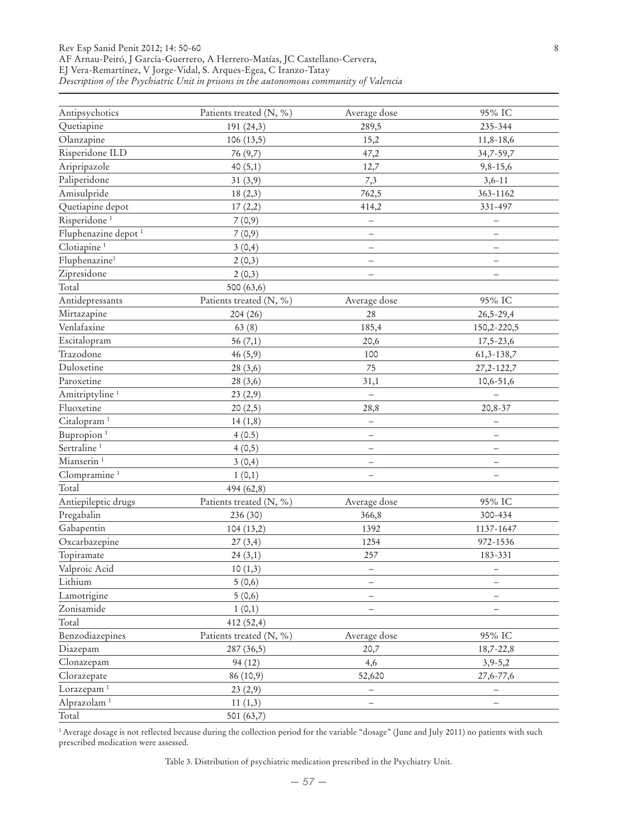#### Rev Esp Sanid Penit 2012; 14: 50-60 8 AF Arnau-Peiró, J García-Guerrero, A Herrero-Matías, JC Castellano-Cervera, EJ Vera-Remartínez, V Jorge-Vidal, S. Arques-Egea, C Iranzo-Tatay *Description of the Psychiatric Unit in prisons in the autonomous community of Valencia*

| Antipsychotics                  | Patients treated (N, %) | Average dose             | 95% IC                   |
|---------------------------------|-------------------------|--------------------------|--------------------------|
| Quetiapine                      | 191 (24,3)              | 289,5                    | 235-344                  |
| Olanzapine                      | 106(13,5)               | 15,2                     | 11,8-18,6                |
| Risperidone ILD                 | 76 (9,7)                | 47,2                     | 34,7-59,7                |
| Aripripazole                    | 40(5,1)                 | 12,7                     | $9,8-15,6$               |
| Paliperidone                    | 31(3,9)                 | 7,3                      | $3,6-11$                 |
| Amisulpride                     | 18(2,3)                 | 762,5                    | 363-1162                 |
| Quetiapine depot                | 17(2,2)                 | 414,2                    | 331-497                  |
| Risperidone <sup>1</sup>        | 7(0,9)                  | $\overline{\phantom{0}}$ | $\qquad \qquad -$        |
| Fluphenazine depot <sup>1</sup> | 7(0,9)                  | $\qquad \qquad -$        | $\qquad \qquad -$        |
| Clotiapine <sup>1</sup>         | 3(0,4)                  | -                        | $\overline{\phantom{0}}$ |
| Fluphenazine <sup>1</sup>       | 2(0,3)                  |                          | $\overline{\phantom{0}}$ |
| Zipresidone                     | 2(0,3)                  |                          | $\overline{\phantom{m}}$ |
| Total                           | 500 (63,6)              |                          |                          |
| Antidepressants                 | Patients treated (N, %) | Average dose             | 95% IC                   |
| Mirtazapine                     | 204(26)                 | 28                       | $26,5 - 29,4$            |
| Venlafaxine                     | 63(8)                   | 185,4                    | 150,2-220,5              |
| Escitalopram                    | 56(7,1)                 | 20,6                     | $17,5 - 23,6$            |
| Trazodone                       | 46(5,9)                 | 100                      | 61,3-138,7               |
| Duloxetine                      | 28 (3,6)                | 75                       | 27, 2-122, 7             |
| Paroxetine                      | 28(3,6)                 | 31,1                     | 10,6-51,6                |
| Amitriptyline <sup>1</sup>      | 23(2,9)                 |                          |                          |
| Fluoxetine                      | 20(2,5)                 | 28,8                     | $20,8-37$                |
| Citalopram <sup>1</sup>         | 14(1,8)                 | $\overline{\phantom{0}}$ |                          |
| Bupropion <sup>1</sup>          | 4(0.5)                  |                          | —                        |
| Sertraline <sup>1</sup>         | 4(0,5)                  | -                        | $\overline{\phantom{0}}$ |
| Mianserin <sup>1</sup>          | 3(0,4)                  | $\overline{\phantom{0}}$ | $\overline{\phantom{0}}$ |
| Clompramine <sup>1</sup>        | 1(0,1)                  | -                        | $\overline{\phantom{0}}$ |
| Total                           | 494 (62,8)              |                          |                          |
| Antiepileptic drugs             | Patients treated (N, %) | Average dose             | 95% IC                   |
| Pregabalin                      | 236 (30)                | 366,8                    | 300-434                  |
| Gabapentin                      | 104(13,2)               | 1392                     | 1137-1647                |
| Oxcarbazepine                   | 27(3,4)                 | 1254                     | 972-1536                 |
| Topiramate                      | 24(3,1)                 | 257                      | 183-331                  |
| Valproic Acid                   | 10(1,3)                 |                          | $\qquad \qquad -$        |
| Lithium                         | 5(0,6)                  |                          | $\overline{\phantom{0}}$ |
| Lamotrigine                     | 5(0,6)                  |                          |                          |
| Zonisamide                      | 1(0,1)                  |                          |                          |
| Total                           | 412 (52,4)              |                          |                          |
| Benzodiazepines                 | Patients treated (N, %) | Average dose             | 95% IC                   |
| Diazepam                        | 287 (36,5)              | 20,7                     | 18,7-22,8                |
| Clonazepam                      | 94(12)                  | 4,6                      | $3,9-5,2$                |
| Clorazepate                     | 86 (10,9)               | 52,620                   | 27,6-77,6                |
| Lorazepam <sup>1</sup>          | 23(2,9)                 |                          |                          |
| Alprazolam <sup>1</sup>         | 11(1,3)                 |                          |                          |
| Total                           | 501 (63,7)              |                          |                          |
|                                 |                         |                          |                          |

<sup>1</sup> Average dosage is not reflected because during the collection period for the variable "dosage" (June and July 2011) no patients with such prescribed medication were assessed.

Table 3. Distribution of psychiatric medication prescribed in the Psychiatry Unit.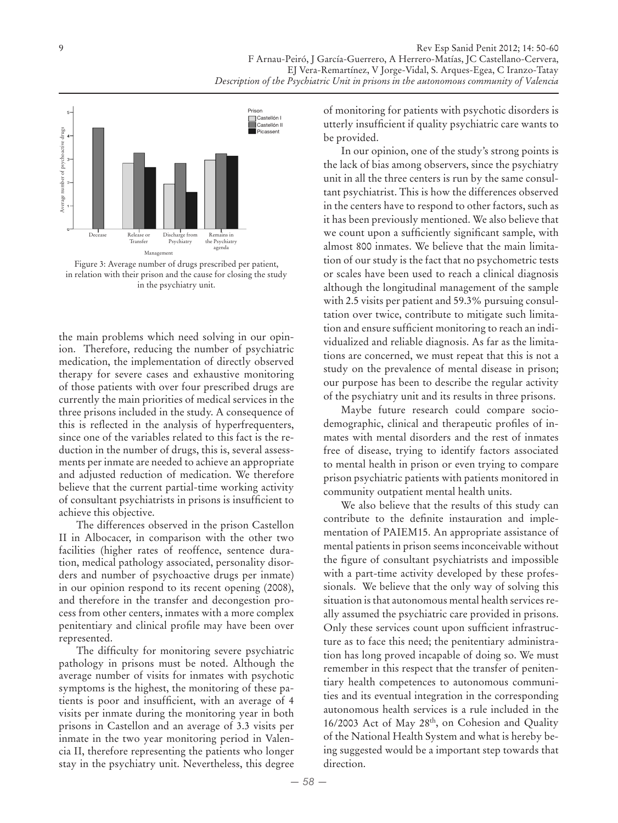

Figure 3: Average number of drugs prescribed per patient, in relation with their prison and the cause for closing the study in the psychiatry unit.

the main problems which need solving in our opinion. Therefore, reducing the number of psychiatric medication, the implementation of directly observed therapy for severe cases and exhaustive monitoring of those patients with over four prescribed drugs are currently the main priorities of medical services in the three prisons included in the study. A consequence of this is reflected in the analysis of hyperfrequenters, since one of the variables related to this fact is the reduction in the number of drugs, this is, several assessments per inmate are needed to achieve an appropriate and adjusted reduction of medication. We therefore believe that the current partial-time working activity of consultant psychiatrists in prisons is insufficient to achieve this objective.

The differences observed in the prison Castellon II in Albocacer, in comparison with the other two facilities (higher rates of reoffence, sentence duration, medical pathology associated, personality disorders and number of psychoactive drugs per inmate) in our opinion respond to its recent opening (2008), and therefore in the transfer and decongestion process from other centers, inmates with a more complex penitentiary and clinical profile may have been over represented.

The difficulty for monitoring severe psychiatric pathology in prisons must be noted. Although the average number of visits for inmates with psychotic symptoms is the highest, the monitoring of these patients is poor and insufficient, with an average of 4 visits per inmate during the monitoring year in both prisons in Castellon and an average of 3.3 visits per inmate in the two year monitoring period in Valencia II, therefore representing the patients who longer stay in the psychiatry unit. Nevertheless, this degree

of monitoring for patients with psychotic disorders is utterly insufficient if quality psychiatric care wants to be provided.

In our opinion, one of the study's strong points is the lack of bias among observers, since the psychiatry unit in all the three centers is run by the same consultant psychiatrist. This is how the differences observed in the centers have to respond to other factors, such as it has been previously mentioned. We also believe that we count upon a sufficiently significant sample, with almost 800 inmates. We believe that the main limitation of our study is the fact that no psychometric tests or scales have been used to reach a clinical diagnosis although the longitudinal management of the sample with 2.5 visits per patient and 59.3% pursuing consultation over twice, contribute to mitigate such limitation and ensure sufficient monitoring to reach an individualized and reliable diagnosis. As far as the limitations are concerned, we must repeat that this is not a study on the prevalence of mental disease in prison; our purpose has been to describe the regular activity of the psychiatry unit and its results in three prisons.

Maybe future research could compare sociodemographic, clinical and therapeutic profiles of inmates with mental disorders and the rest of inmates free of disease, trying to identify factors associated to mental health in prison or even trying to compare prison psychiatric patients with patients monitored in community outpatient mental health units.

We also believe that the results of this study can contribute to the definite instauration and implementation of PAIEM15. An appropriate assistance of mental patients in prison seems inconceivable without the figure of consultant psychiatrists and impossible with a part-time activity developed by these professionals. We believe that the only way of solving this situation is that autonomous mental health services really assumed the psychiatric care provided in prisons. Only these services count upon sufficient infrastructure as to face this need; the penitentiary administration has long proved incapable of doing so. We must remember in this respect that the transfer of penitentiary health competences to autonomous communities and its eventual integration in the corresponding autonomous health services is a rule included in the 16/2003 Act of May 28th, on Cohesion and Quality of the National Health System and what is hereby being suggested would be a important step towards that direction.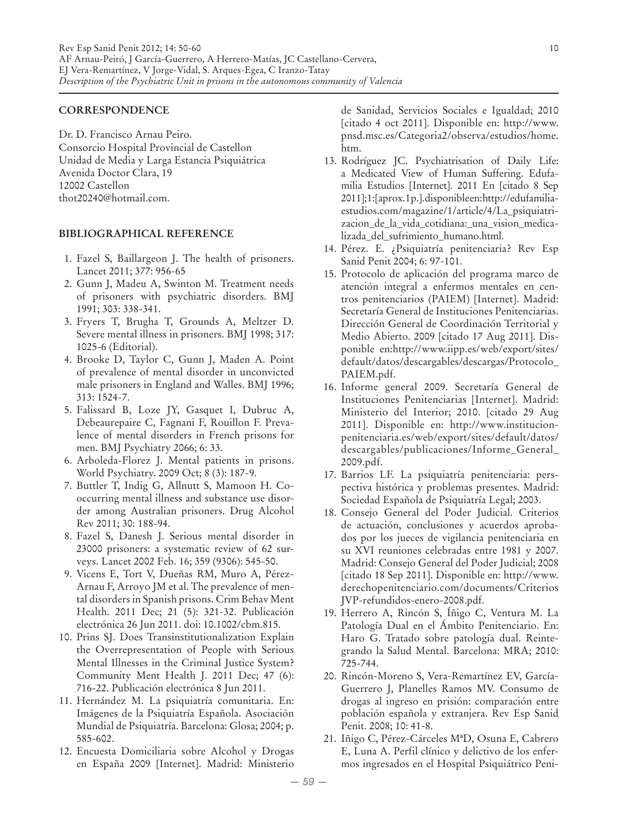## **CORRESPONDENCE**

Dr. D. Francisco Arnau Peiro. Consorcio Hospital Provincial de Castellon Unidad de Media y Larga Estancia Psiquiátrica Avenida Doctor Clara, 19 12002 Castellon thot20240@hotmail.com.

# **BIBLIOGRAPHICAL REFERENCE**

- 1. Fazel S, Baillargeon J. The health of prisoners. Lancet 2011; 377: 956-65
- 2. Gunn J, Madeu A, Swinton M. Treatment needs of prisoners with psychiatric disorders. BMJ 1991; 303: 338-341.
- 3. Fryers T, Brugha T, Grounds A, Meltzer D. Severe mental illness in prisoners. BMJ 1998; 317: 1025-6 (Editorial).
- 4. Brooke D, Taylor C, Gunn J, Maden A. Point of prevalence of mental disorder in unconvicted male prisoners in England and Walles. BMJ 1996; 313: 1524-7.
- 5. Falissard B, Loze JY, Gasquet I, Dubruc A, Debeaurepaire C, Fagnani F, Rouillon F. Prevalence of mental disorders in French prisons for men. BMJ Psychiatry 2066; 6: 33.
- 6. Arboleda-Florez J. Mental patients in prisons. World Psychiatry. 2009 Oct; 8 (3): 187-9.
- 7. Buttler T, Indig G, Allnutt S, Mamoon H. Cooccurring mental illness and substance use disorder among Australian prisoners. Drug Alcohol Rev 2011; 30: 188-94.
- 8. Fazel S, Danesh J. Serious mental disorder in 23000 prisoners: a systematic review of 62 surveys. Lancet 2002 Feb. 16; 359 (9306): 545-50.
- 9. Vicens E, Tort V, Dueñas RM, Muro A, Pérez-Arnau F, Arroyo JM et al. The prevalence of mental disorders in Spanish prisons. Crim Behav Ment Health. 2011 Dec; 21 (5): 321-32. Publicación electrónica 26 Jun 2011. doi: 10.1002/cbm.815.
- 10. Prins SJ. Does Transinstitutionalization Explain the Overrepresentation of People with Serious Mental Illnesses in the Criminal Justice System? Community Ment Health J. 2011 Dec; 47 (6): 716-22. Publicación electrónica 8 Jun 2011.
- 11. Hernández M. La psiquiatría comunitaria. En: Imágenes de la Psiquiatría Española. Asociación Mundial de Psiquiatría. Barcelona: Glosa; 2004; p. 585-602.
- 12. Encuesta Domiciliaria sobre Alcohol y Drogas en España 2009 [Internet]. Madrid: Ministerio

de Sanidad, Servicios Sociales e Igualdad; 2010 [citado 4 oct 2011]. Disponible en: http://www. pnsd.msc.es/Categoria2/observa/estudios/home. htm.

- 13. Rodríguez JC. Psychiatrisation of Daily Life: a Medicated View of Human Suffering. Edufamilia Estudios [Internet]. 2011 En [citado 8 Sep 2011]; 1: [aprox. 1 p.]. disponible en: http://edufamiliaestudios.com/magazine/1/article/4/La\_psiquiatrizacion\_de\_la\_vida\_cotidiana:\_una\_vision\_medicalizada\_del\_sufrimiento\_humano.html.
- 14. Pérez. E. ¿Psiquiatría penitenciaria? Rev Esp Sanid Penit 2004; 6: 97-101.
- 15. Protocolo de aplicación del programa marco de atención integral a enfermos mentales en centros penitenciarios (PAIEM) [Internet]. Madrid: Secretaría General de Instituciones Penitenciarias. Dirección General de Coordinación Territorial y Medio Abierto. 2009 [citado 17 Aug 2011]. Disponible en:http://www.iipp.es/web/export/sites/ default/datos/descargables/descargas/Protocolo\_ PAIEM.pdf.
- 16. Informe general 2009. Secretaría General de Instituciones Penitenciarias [Internet]. Madrid: Ministerio del Interior; 2010. [citado 29 Aug 2011]. Disponible en: http://www.institucionpenitenciaria.es/web/export/sites/default/datos/ descargables/publicaciones/Informe\_General\_ 2009.pdf.
- 17. Barrios LF. La psiquiatría penitenciaria: perspectiva histórica y problemas presentes. Madrid: Sociedad Española de Psiquiatría Legal; 2003.
- 18. Consejo General del Poder Judicial. Criterios de actuación, conclusiones y acuerdos aprobados por los jueces de vigilancia penitenciaria en su XVI reuniones celebradas entre 1981 y 2007. Madrid: Consejo General del Poder Judicial; 2008 [citado 18 Sep 2011]. Disponible en: http://www. derechopenitenciario.com/documents/Criterios JVP-refundidos-enero-2008.pdf.
- 19. Herrero A, Rincón S, Íñigo C, Ventura M. La Patología Dual en el Ámbito Penitenciario. En: Haro G. Tratado sobre patología dual. Reintegrando la Salud Mental. Barcelona: MRA; 2010: 725-744.
- 20. Rincón-Moreno S, Vera-Remartínez EV, García-Guerrero J, Planelles Ramos MV. Consumo de drogas al ingreso en prisión: comparación entre población española y extranjera. Rev Esp Sanid Penit. 2008; 10: 41-8.
- 21. Iñigo C, Pérez-Cárceles MªD, Osuna E, Cabrero E, Luna A. Perfil clínico y delictivo de los enfermos ingresados en el Hospital Psiquiátrico Peni-